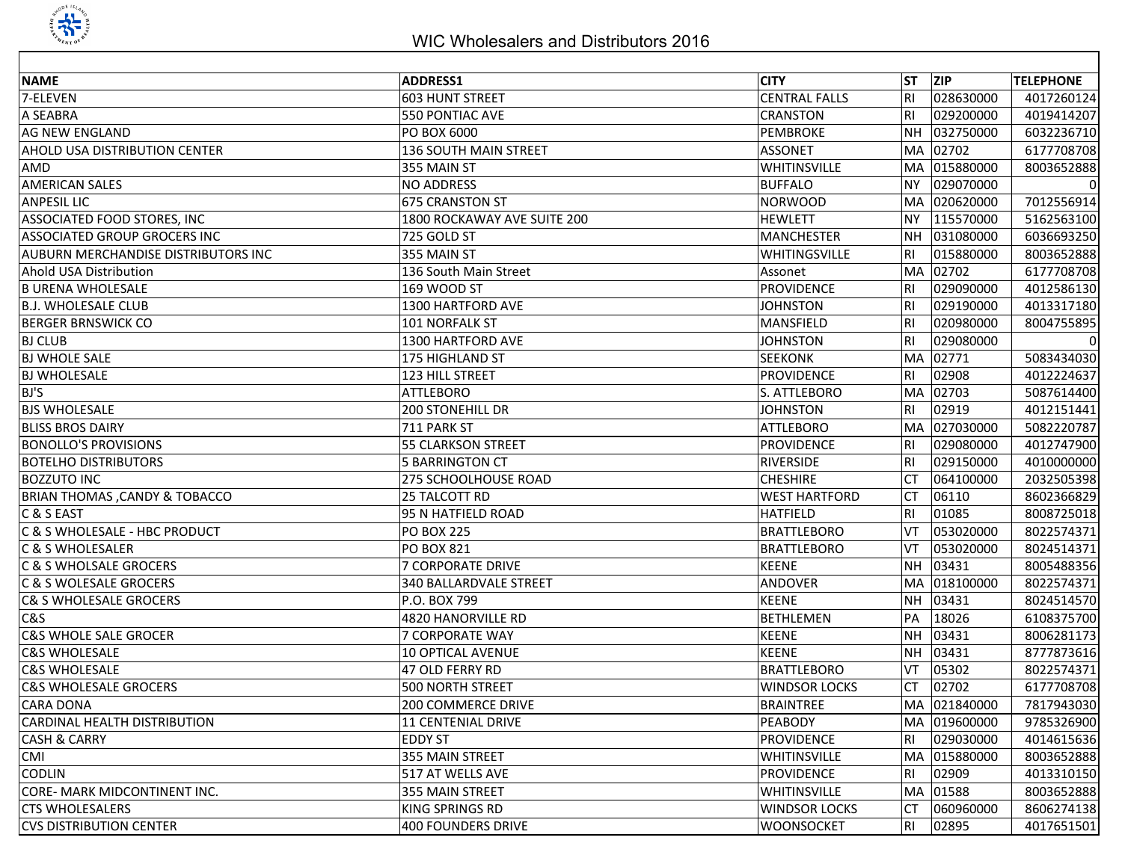

| <b>NAME</b>                              | <b>ADDRESS1</b>               | <b>CITY</b>          | <b>ST</b>      | ZIP          | <b>TELEPHONE</b> |
|------------------------------------------|-------------------------------|----------------------|----------------|--------------|------------------|
| 7-ELEVEN                                 | 603 HUNT STREET               | <b>CENTRAL FALLS</b> | <b>RI</b>      | 028630000    | 4017260124       |
| A SEABRA                                 | 550 PONTIAC AVE               | <b>CRANSTON</b>      | R <sub>l</sub> | 029200000    | 4019414207       |
| <b>AG NEW ENGLAND</b>                    | PO BOX 6000                   | <b>PEMBROKE</b>      | NH.            | 032750000    | 6032236710       |
| AHOLD USA DISTRIBUTION CENTER            | <b>136 SOUTH MAIN STREET</b>  | <b>ASSONET</b>       |                | MA 02702     | 6177708708       |
|                                          |                               |                      |                |              |                  |
| AMD                                      | 355 MAIN ST                   | WHITINSVILLE         | MA.            | 015880000    | 8003652888       |
| <b>AMERICAN SALES</b>                    | <b>NO ADDRESS</b>             | <b>BUFFALO</b>       | <b>NY</b>      | 029070000    | 0                |
| <b>ANPESIL LIC</b>                       | <b>675 CRANSTON ST</b>        | <b>NORWOOD</b>       | MA.            | 020620000    | 7012556914       |
| ASSOCIATED FOOD STORES, INC              | 1800 ROCKAWAY AVE SUITE 200   | <b>HEWLETT</b>       | <b>NY</b>      | 115570000    | 5162563100       |
| ASSOCIATED GROUP GROCERS INC             | 725 GOLD ST                   | <b>MANCHESTER</b>    | NΗ             | 031080000    | 6036693250       |
| AUBURN MERCHANDISE DISTRIBUTORS INC      | 355 MAIN ST                   | WHITINGSVILLE        | <b>RI</b>      | 015880000    | 8003652888       |
| Ahold USA Distribution                   | 136 South Main Street         | Assonet              | <b>MA</b>      | 02702        | 6177708708       |
| <b>B URENA WHOLESALE</b>                 | 169 WOOD ST                   | <b>PROVIDENCE</b>    | <b>RI</b>      | 029090000    | 4012586130       |
| <b>B.J. WHOLESALE CLUB</b>               | 1300 HARTFORD AVE             | <b>JOHNSTON</b>      | <b>RI</b>      | 029190000    | 4013317180       |
| <b>BERGER BRNSWICK CO</b>                | 101 NORFALK ST                | MANSFIELD            | R1             | 020980000    | 8004755895       |
| <b>BJ CLUB</b>                           | 1300 HARTFORD AVE             | <b>JOHNSTON</b>      | R <sub>l</sub> | 029080000    | 0                |
| <b>BJ WHOLE SALE</b>                     | 175 HIGHLAND ST               | <b>SEEKONK</b>       | lMA.           | 02771        | 5083434030       |
| <b>BJ WHOLESALE</b>                      | 123 HILL STREET               | <b>PROVIDENCE</b>    | <b>RI</b>      | 02908        | 4012224637       |
| BJ'S                                     | <b>ATTLEBORO</b>              | S. ATTLEBORO         | <b>MA</b>      | 02703        | 5087614400       |
| <b>BJS WHOLESALE</b>                     | <b>200 STONEHILL DR</b>       | <b>JOHNSTON</b>      | <b>RI</b>      | 02919        | 4012151441       |
| <b>BLISS BROS DAIRY</b>                  | 711 PARK ST                   | <b>ATTLEBORO</b>     | lMA.           | 027030000    | 5082220787       |
| <b>BONOLLO'S PROVISIONS</b>              | 55 CLARKSON STREET            | <b>PROVIDENCE</b>    | R <sub>l</sub> | 029080000    | 4012747900       |
| <b>BOTELHO DISTRIBUTORS</b>              | 5 BARRINGTON CT               | <b>RIVERSIDE</b>     | R <sub>l</sub> | 029150000    | 4010000000       |
| <b>BOZZUTO INC</b>                       | 275 SCHOOLHOUSE ROAD          | <b>CHESHIRE</b>      | СT             | 064100000    | 2032505398       |
| <b>BRIAN THOMAS, CANDY &amp; TOBACCO</b> | 25 TALCOTT RD                 | <b>WEST HARTFORD</b> | <b>CT</b>      | 06110        | 8602366829       |
| C & S EAST                               | 95 N HATFIELD ROAD            | <b>HATFIELD</b>      | <b>RI</b>      | 01085        | 8008725018       |
| C & S WHOLESALE - HBC PRODUCT            | <b>PO BOX 225</b>             | <b>BRATTLEBORO</b>   | VT             | 053020000    | 8022574371       |
| C & S WHOLESALER                         | <b>PO BOX 821</b>             | <b>BRATTLEBORO</b>   | VT             | 053020000    | 8024514371       |
| C & S WHOLSALE GROCERS                   | <b>7 CORPORATE DRIVE</b>      | <b>KEENE</b>         | <b>NH</b>      | 03431        | 8005488356       |
| C & S WOLESALE GROCERS                   | <b>340 BALLARDVALE STREET</b> | ANDOVER              |                | MA 018100000 | 8022574371       |
| <b>C&amp; S WHOLESALE GROCERS</b>        | P.O. BOX 799                  | <b>KEENE</b>         | <b>NH</b>      | 03431        | 8024514570       |
| C&S                                      | 4820 HANORVILLE RD            | <b>BETHLEMEN</b>     | PA             | 18026        | 6108375700       |
| <b>C&amp;S WHOLE SALE GROCER</b>         | 7 CORPORATE WAY               | <b>KEENE</b>         | <b>NH</b>      | 03431        | 8006281173       |
| <b>C&amp;S WHOLESALE</b>                 | <b>10 OPTICAL AVENUE</b>      | <b>KEENE</b>         | <b>NH</b>      | 03431        | 8777873616       |
| <b>C&amp;S WHOLESALE</b>                 | 47 OLD FERRY RD               | <b>BRATTLEBORO</b>   | VT             | 05302        | 8022574371       |
| <b>C&amp;S WHOLESALE GROCERS</b>         | <b>500 NORTH STREET</b>       | <b>WINDSOR LOCKS</b> | СT             | 02702        | 6177708708       |
| <b>CARA DONA</b>                         | 200 COMMERCE DRIVE            | <b>BRAINTREE</b>     |                | MA 021840000 | 7817943030       |
| CARDINAL HEALTH DISTRIBUTION             | 11 CENTENIAL DRIVE            | <b>PEABODY</b>       |                | MA 019600000 | 9785326900       |
| <b>CASH &amp; CARRY</b>                  | <b>EDDY ST</b>                | <b>PROVIDENCE</b>    | RI             | 029030000    | 4014615636       |
| CMI                                      | 355 MAIN STREET               | WHITINSVILLE         |                | MA 015880000 | 8003652888       |
| <b>CODLIN</b>                            | 517 AT WELLS AVE              | <b>PROVIDENCE</b>    | R <sub>l</sub> | 02909        | 4013310150       |
| CORE- MARK MIDCONTINENT INC.             | 355 MAIN STREET               | <b>WHITINSVILLE</b>  |                | MA 01588     | 8003652888       |
| <b>CTS WHOLESALERS</b>                   | KING SPRINGS RD               | <b>WINDSOR LOCKS</b> | СT             | 060960000    | 8606274138       |
|                                          |                               |                      |                | 02895        |                  |
| <b>CVS DISTRIBUTION CENTER</b>           | 400 FOUNDERS DRIVE            | <b>WOONSOCKET</b>    | RI             |              | 4017651501       |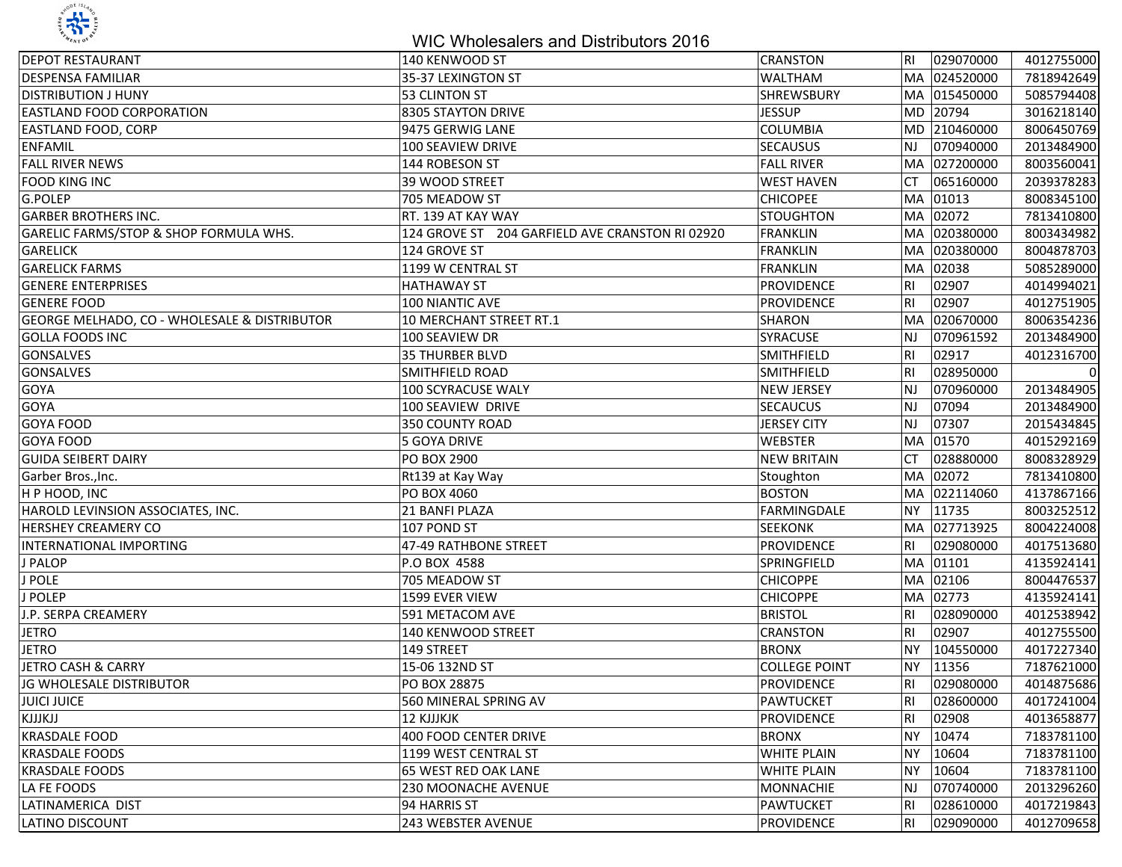

## WIC Wholesalers and Distributors 2016

| <b>DEPOT RESTAURANT</b>                      | 140 KENWOOD ST                                  | CRANSTON             | IRI.           | 029070000    | 4012755000 |
|----------------------------------------------|-------------------------------------------------|----------------------|----------------|--------------|------------|
| <b>DESPENSA FAMILIAR</b>                     | 35-37 LEXINGTON ST                              | <b>WALTHAM</b>       |                | MA 024520000 | 7818942649 |
| <b>DISTRIBUTION J HUNY</b>                   | 53 CLINTON ST                                   | SHREWSBURY           | MA.            | 015450000    | 5085794408 |
| EASTLAND FOOD CORPORATION                    | 8305 STAYTON DRIVE                              | <b>JESSUP</b>        | <b>MD</b>      | 20794        | 3016218140 |
| EASTLAND FOOD, CORP                          | 9475 GERWIG LANE                                | <b>COLUMBIA</b>      | MD.            | 210460000    | 8006450769 |
| <b>ENFAMIL</b>                               | 100 SEAVIEW DRIVE                               | <b>SECAUSUS</b>      | <b>NJ</b>      | 070940000    | 2013484900 |
| <b>FALL RIVER NEWS</b>                       | 144 ROBESON ST                                  | <b>FALL RIVER</b>    | MA.            | 027200000    | 8003560041 |
| <b>FOOD KING INC</b>                         | 39 WOOD STREET                                  | <b>WEST HAVEN</b>    | <b>CT</b>      | 065160000    | 2039378283 |
| G.POLEP                                      | 705 MEADOW ST                                   | <b>CHICOPEE</b>      | <b>MA</b>      | 01013        | 8008345100 |
| <b>GARBER BROTHERS INC.</b>                  | RT. 139 AT KAY WAY                              | <b>STOUGHTON</b>     | <b>MA</b>      | 02072        | 7813410800 |
| GARELIC FARMS/STOP & SHOP FORMULA WHS.       | 124 GROVE ST 204 GARFIELD AVE CRANSTON RI 02920 | <b>FRANKLIN</b>      | <b>MA</b>      | 020380000    | 8003434982 |
| <b>GARELICK</b>                              | 124 GROVE ST                                    | <b>FRANKLIN</b>      | <b>MA</b>      | 020380000    | 8004878703 |
| <b>GARELICK FARMS</b>                        | 1199 W CENTRAL ST                               | <b>FRANKLIN</b>      | MA             | 02038        | 5085289000 |
| <b>GENERE ENTERPRISES</b>                    | <b>HATHAWAY ST</b>                              | <b>PROVIDENCE</b>    | R <sub>l</sub> | 02907        | 4014994021 |
| <b>GENERE FOOD</b>                           | 100 NIANTIC AVE                                 | <b>PROVIDENCE</b>    | R <sub>l</sub> | 02907        | 4012751905 |
| GEORGE MELHADO, CO - WHOLESALE & DISTRIBUTOR | 10 MERCHANT STREET RT.1                         | <b>SHARON</b>        | <b>MA</b>      | 020670000    | 8006354236 |
| <b>GOLLA FOODS INC</b>                       | 100 SEAVIEW DR                                  | SYRACUSE             | <b>NJ</b>      | 070961592    | 2013484900 |
| <b>GONSALVES</b>                             | <b>35 THURBER BLVD</b>                          | <b>SMITHFIELD</b>    | R <sub>l</sub> | 02917        | 4012316700 |
| <b>GONSALVES</b>                             | <b>SMITHFIELD ROAD</b>                          | SMITHFIELD           | R <sub>l</sub> | 028950000    | 0          |
| GOYA                                         | 100 SCYRACUSE WALY                              | <b>NEW JERSEY</b>    | lnj            | 070960000    | 2013484905 |
| GOYA                                         | 100 SEAVIEW DRIVE                               | <b>SECAUCUS</b>      | lnj            | 07094        | 2013484900 |
| GOYA FOOD                                    | 350 COUNTY ROAD                                 | <b>JERSEY CITY</b>   | lnj            | 07307        | 2015434845 |
| <b>GOYA FOOD</b>                             | 5 GOYA DRIVE                                    | WEBSTER              | lMA.           | 01570        | 4015292169 |
| <b>GUIDA SEIBERT DAIRY</b>                   | PO BOX 2900                                     | <b>NEW BRITAIN</b>   | СT             | 028880000    | 8008328929 |
| Garber Bros., Inc.                           | Rt139 at Kay Way                                | Stoughton            | <b>MA</b>      | 02072        | 7813410800 |
| H P HOOD, INC                                | <b>PO BOX 4060</b>                              | <b>BOSTON</b>        | <b>MA</b>      | 022114060    | 4137867166 |
| HAROLD LEVINSION ASSOCIATES, INC.            | 21 BANFI PLAZA                                  | FARMINGDALE          | <b>NY</b>      | 11735        | 8003252512 |
| HERSHEY CREAMERY CO                          | 107 POND ST                                     | <b>SEEKONK</b>       | MA             | 027713925    | 8004224008 |
| <b>INTERNATIONAL IMPORTING</b>               | 47-49 RATHBONE STREET                           | <b>PROVIDENCE</b>    | <b>RI</b>      | 029080000    | 4017513680 |
| J PALOP                                      | P.O BOX 4588                                    | SPRINGFIELD          | <b>MA</b>      | 01101        | 4135924141 |
| J POLE                                       | 705 MEADOW ST                                   | <b>CHICOPPE</b>      | MA.            | 02106        | 8004476537 |
| J POLEP                                      | 1599 EVER VIEW                                  | <b>CHICOPPE</b>      | MA.            | 02773        | 4135924141 |
| J.P. SERPA CREAMERY                          | 591 METACOM AVE                                 | <b>BRISTOL</b>       | <b>RI</b>      | 028090000    | 4012538942 |
| <b>JETRO</b>                                 | 140 KENWOOD STREET                              | <b>CRANSTON</b>      | R1             | 02907        | 4012755500 |
| <b>JETRO</b>                                 | 149 STREET                                      | <b>BRONX</b>         | <b>NY</b>      | 104550000    | 4017227340 |
| <b>JETRO CASH &amp; CARRY</b>                | 15-06 132ND ST                                  | <b>COLLEGE POINT</b> | <b>NY</b>      | 11356        | 7187621000 |
| JG WHOLESALE DISTRIBUTOR                     | PO BOX 28875                                    | <b>PROVIDENCE</b>    | RI             | 029080000    | 4014875686 |
| <b>JUICI JUICE</b>                           | 560 MINERAL SPRING AV                           | PAWTUCKET            | <b>RI</b>      | 028600000    | 4017241004 |
| KJJJKJJ                                      | <b>12 KJJJKJK</b>                               | PROVIDENCE           | <b>RI</b>      | 02908        | 4013658877 |
| <b>KRASDALE FOOD</b>                         | 400 FOOD CENTER DRIVE                           | <b>BRONX</b>         | NY             | 10474        | 7183781100 |
| <b>KRASDALE FOODS</b>                        | 1199 WEST CENTRAL ST                            | <b>WHITE PLAIN</b>   | <b>NY</b>      | 10604        | 7183781100 |
| <b>KRASDALE FOODS</b>                        | 65 WEST RED OAK LANE                            | <b>WHITE PLAIN</b>   | <b>NY</b>      | 10604        | 7183781100 |
| LA FE FOODS                                  | 230 MOONACHE AVENUE                             | <b>MONNACHIE</b>     | NJ.            | 070740000    | 2013296260 |
| LATINAMERICA DIST                            | 94 HARRIS ST                                    | PAWTUCKET            | RI             | 028610000    | 4017219843 |
| LATINO DISCOUNT                              | 243 WEBSTER AVENUE                              | PROVIDENCE           | RI.            | 029090000    | 4012709658 |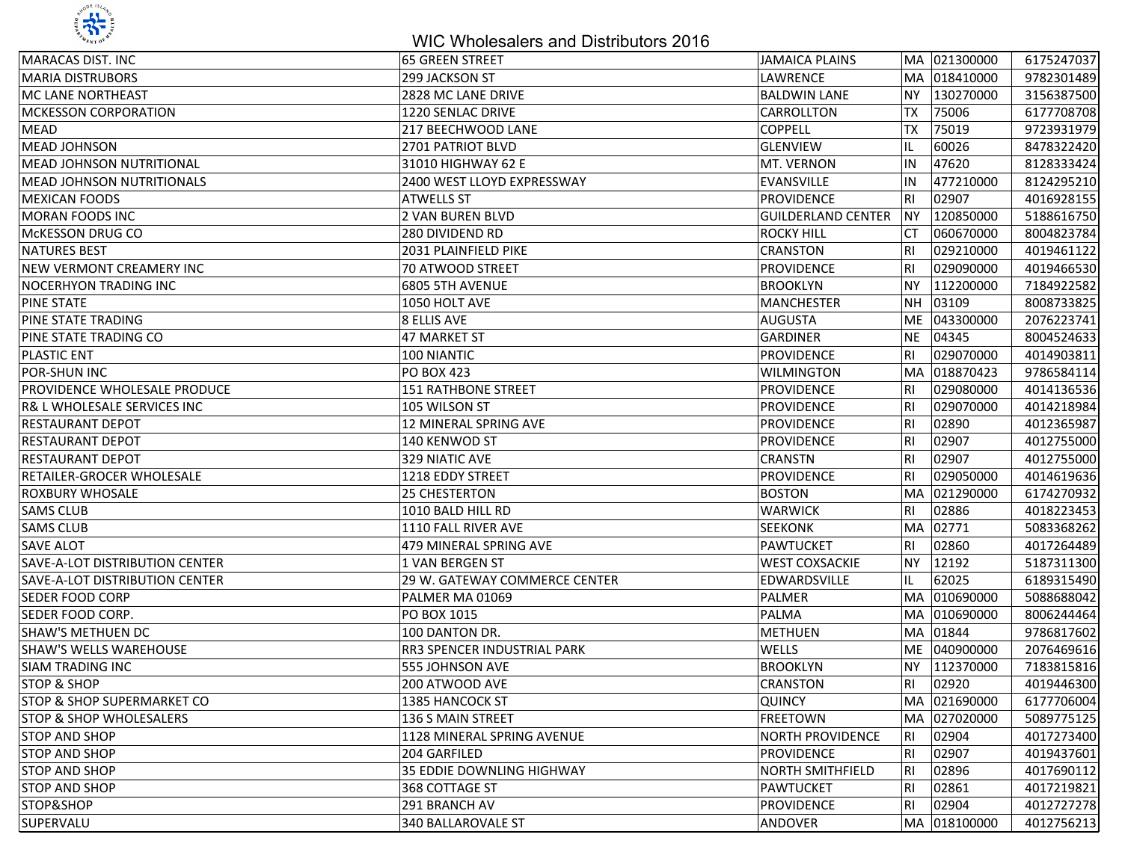

## WIC Wholesalers and Distributors 2016

| <b>MARACAS DIST. INC</b>              | 65 GREEN STREET               | <b>JAMAICA PLAINS</b>     |           | MA 021300000 | 6175247037 |
|---------------------------------------|-------------------------------|---------------------------|-----------|--------------|------------|
| <b>MARIA DISTRUBORS</b>               | 299 JACKSON ST                | LAWRENCE                  |           | MA 018410000 | 9782301489 |
| MC LANE NORTHEAST                     | 2828 MC LANE DRIVE            | <b>BALDWIN LANE</b>       | <b>NY</b> | 130270000    | 3156387500 |
| <b>MCKESSON CORPORATION</b>           | 1220 SENLAC DRIVE             | CARROLLTON                | ТX        | 75006        | 6177708708 |
| <b>MEAD</b>                           | 217 BEECHWOOD LANE            | <b>COPPELL</b>            | ТX        | 75019        | 9723931979 |
| <b>MEAD JOHNSON</b>                   | 2701 PATRIOT BLVD             | <b>GLENVIEW</b>           | IL        | 60026        | 8478322420 |
| <b>MEAD JOHNSON NUTRITIONAL</b>       | 31010 HIGHWAY 62 E            | MT. VERNON                | IN        | 47620        | 8128333424 |
| <b>MEAD JOHNSON NUTRITIONALS</b>      | 2400 WEST LLOYD EXPRESSWAY    | EVANSVILLE                | IN        | 477210000    | 8124295210 |
| <b>MEXICAN FOODS</b>                  | <b>ATWELLS ST</b>             | <b>PROVIDENCE</b>         | IRI       | 02907        | 4016928155 |
| <b>MORAN FOODS INC</b>                | 2 VAN BUREN BLVD              | <b>GUILDERLAND CENTER</b> | <b>NY</b> | 120850000    | 5188616750 |
| <b>MCKESSON DRUG CO</b>               | <b>280 DIVIDEND RD</b>        | <b>ROCKY HILL</b>         | СT        | 060670000    | 8004823784 |
| <b>NATURES BEST</b>                   | 2031 PLAINFIELD PIKE          | <b>CRANSTON</b>           | RI        | 029210000    | 4019461122 |
| NEW VERMONT CREAMERY INC              | 70 ATWOOD STREET              | <b>PROVIDENCE</b>         | RI        | 029090000    | 4019466530 |
| <b>NOCERHYON TRADING INC</b>          | <b>6805 5TH AVENUE</b>        | <b>BROOKLYN</b>           | <b>NY</b> | 112200000    | 7184922582 |
| <b>PINE STATE</b>                     | 1050 HOLT AVE                 | <b>MANCHESTER</b>         | <b>NH</b> | 03109        | 8008733825 |
| <b>PINE STATE TRADING</b>             | 8 ELLIS AVE                   | <b>AUGUSTA</b>            | <b>ME</b> | 043300000    | 2076223741 |
| PINE STATE TRADING CO                 | 47 MARKET ST                  | <b>GARDINER</b>           | <b>NE</b> | 04345        | 8004524633 |
| <b>PLASTIC ENT</b>                    | 100 NIANTIC                   | <b>PROVIDENCE</b>         | RI        | 029070000    | 4014903811 |
| <b>POR-SHUN INC</b>                   | <b>PO BOX 423</b>             | <b>WILMINGTON</b>         |           | MA 018870423 | 9786584114 |
| <b>PROVIDENCE WHOLESALE PRODUCE</b>   | <b>151 RATHBONE STREET</b>    | <b>PROVIDENCE</b>         | RI        | 029080000    | 4014136536 |
| R& L WHOLESALE SERVICES INC           | 105 WILSON ST                 | PROVIDENCE                | RI        | 029070000    | 4014218984 |
| <b>RESTAURANT DEPOT</b>               | <b>12 MINERAL SPRING AVE</b>  | PROVIDENCE                | l RI      | 02890        | 4012365987 |
| <b>RESTAURANT DEPOT</b>               | 140 KENWOD ST                 | PROVIDENCE                | l RI      | 02907        | 4012755000 |
| <b>RESTAURANT DEPOT</b>               | 329 NIATIC AVE                | <b>CRANSTN</b>            | l RI      | 02907        | 4012755000 |
| <b>RETAILER-GROCER WHOLESALE</b>      | 1218 EDDY STREET              | <b>PROVIDENCE</b>         | R1        | 029050000    | 4014619636 |
| <b>ROXBURY WHOSALE</b>                | 25 CHESTERTON                 | <b>BOSTON</b>             | MA        | 021290000    | 6174270932 |
| <b>SAMS CLUB</b>                      | 1010 BALD HILL RD             | <b>WARWICK</b>            | l RI      | 02886        | 4018223453 |
| <b>SAMS CLUB</b>                      | 1110 FALL RIVER AVE           | <b>SEEKONK</b>            | MA        | 02771        | 5083368262 |
| <b>SAVE ALOT</b>                      | 479 MINERAL SPRING AVE        | <b>PAWTUCKET</b>          | R1        | 02860        | 4017264489 |
| <b>SAVE-A-LOT DISTRIBUTION CENTER</b> | 1 VAN BERGEN ST               | <b>WEST COXSACKIE</b>     | <b>NY</b> | 12192        | 5187311300 |
| <b>SAVE-A-LOT DISTRIBUTION CENTER</b> | 29 W. GATEWAY COMMERCE CENTER | EDWARDSVILLE              | IL        | 62025        | 6189315490 |
| <b>SEDER FOOD CORP</b>                | PALMER MA 01069               | <b>PALMER</b>             |           | MA 010690000 | 5088688042 |
| <b>SEDER FOOD CORP.</b>               | PO BOX 1015                   | PALMA                     |           | MA 010690000 | 8006244464 |
| <b>SHAW'S METHUEN DC</b>              | 100 DANTON DR.                | <b>METHUEN</b>            |           | MA 01844     | 9786817602 |
| <b>SHAW'S WELLS WAREHOUSE</b>         | RR3 SPENCER INDUSTRIAL PARK   | WELLS                     |           | ME 040900000 | 2076469616 |
| <b>SIAM TRADING INC</b>               | 555 JOHNSON AVE               | <b>BROOKLYN</b>           | NY)       | 112370000    | 7183815816 |
| <b>STOP &amp; SHOP</b>                | 200 ATWOOD AVE                | <b>CRANSTON</b>           | RI        | 02920        | 4019446300 |
| <b>STOP &amp; SHOP SUPERMARKET CO</b> | 1385 HANCOCK ST               | <b>QUINCY</b>             | MA        | 021690000    | 6177706004 |
| <b>STOP &amp; SHOP WHOLESALERS</b>    | 136 S MAIN STREET             | <b>FREETOWN</b>           | MA        | 027020000    | 5089775125 |
| <b>STOP AND SHOP</b>                  | 1128 MINERAL SPRING AVENUE    | <b>NORTH PROVIDENCE</b>   | RI        | 02904        | 4017273400 |
| <b>STOP AND SHOP</b>                  | 204 GARFILED                  | <b>PROVIDENCE</b>         | RI        | 02907        | 4019437601 |
| <b>STOP AND SHOP</b>                  | 35 EDDIE DOWNLING HIGHWAY     | <b>NORTH SMITHFIELD</b>   | RI        | 02896        | 4017690112 |
| <b>STOP AND SHOP</b>                  | 368 COTTAGE ST                | <b>PAWTUCKET</b>          | IRI       | 02861        | 4017219821 |
| STOP&SHOP                             | 291 BRANCH AV                 | PROVIDENCE                | RI        | 02904        | 4012727278 |
| SUPERVALU                             | 340 BALLAROVALE ST            | ANDOVER                   |           | MA 018100000 | 4012756213 |